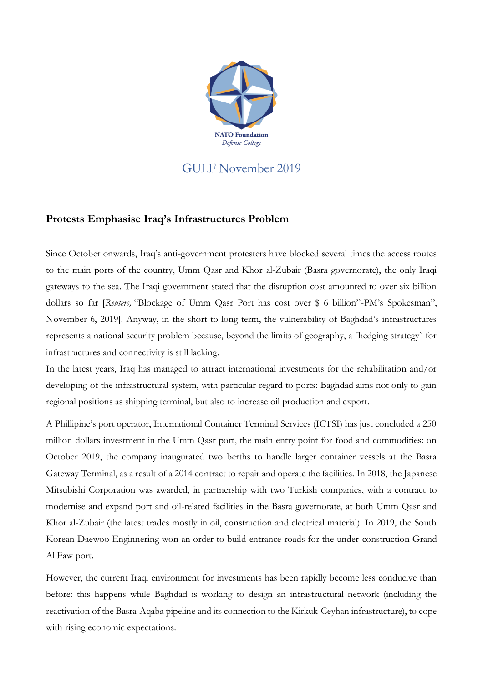

## GULF November 2019

## **Protests Emphasise Iraq's Infrastructures Problem**

Since October onwards, Iraq's anti-government protesters have blocked several times the access routes to the main ports of the country, Umm Qasr and Khor al-Zubair (Basra governorate), the only Iraqi gateways to the sea. The Iraqi government stated that the disruption cost amounted to over six billion dollars so far [*Reuters,* "Blockage of Umm Qasr Port has cost over \$ 6 billion"-PM's Spokesman", November 6, 2019]. Anyway, in the short to long term, the vulnerability of Baghdad's infrastructures represents a national security problem because, beyond the limits of geography, a ´hedging strategy` for infrastructures and connectivity is still lacking.

In the latest years, Iraq has managed to attract international investments for the rehabilitation and/or developing of the infrastructural system, with particular regard to ports: Baghdad aims not only to gain regional positions as shipping terminal, but also to increase oil production and export.

A Phillipine's port operator, International Container Terminal Services (ICTSI) has just concluded a 250 million dollars investment in the Umm Qasr port, the main entry point for food and commodities: on October 2019, the company inaugurated two berths to handle larger container vessels at the Basra Gateway Terminal, as a result of a 2014 contract to repair and operate the facilities. In 2018, the Japanese Mitsubishi Corporation was awarded, in partnership with two Turkish companies, with a contract to modernise and expand port and oil-related facilities in the Basra governorate, at both Umm Qasr and Khor al-Zubair (the latest trades mostly in oil, construction and electrical material). In 2019, the South Korean Daewoo Enginnering won an order to build entrance roads for the under-construction Grand Al Faw port.

However, the current Iraqi environment for investments has been rapidly become less conducive than before: this happens while Baghdad is working to design an infrastructural network (including the reactivation of the Basra-Aqaba pipeline and its connection to the Kirkuk-Ceyhan infrastructure), to cope with rising economic expectations.